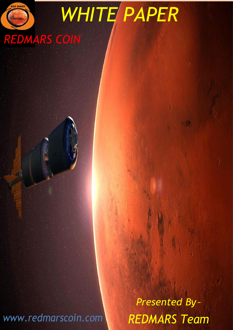

*REDMARS COIN*

*Presented By – REDMARS Team*

*WHITE PAPER*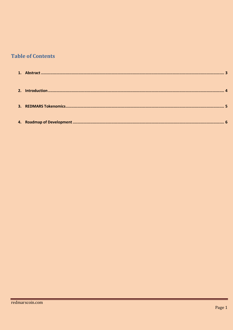## **Table of Contents**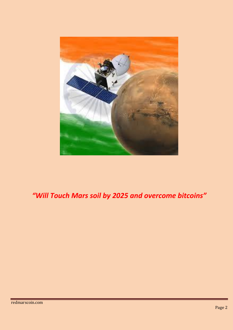

# *"Will Touch Mars soil by 2025 and overcome bitcoins"*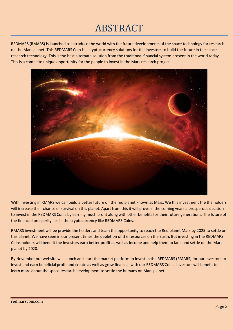# ABSTRACT

REDMARS (RMARS) is launched to introduce the world with the future developments of the space technology for research on the Mars planet. This REDMARS Coin is a cryptocurrency solutions for the investors to build the future in the space research technology. This is the best alternate solution from the traditional financial system present in the world today. This is a complete unique opportunity for the people to invest in the Mars research project.



With investing in RMARS we can build a better future on the red planet known as Mars. We this investment the the holders will increase their chance of survival on this planet. Apart from this it will prove in the coming years a prosperous decision to invest in the REDMARS Coins by earning much profit along with other benefits for their future generations. The future of the financial prosperity lies in the cryptocurrency like REDMARS Coins.

RMARS investment will be provide the holders and team the opportunity to reach the Red planet Mars by 2025 to settle on this planet. We have seen in our present times the depletion of the resources on the Earth. But investing in the REDMARS Coins holders will benefit the investors earn better profit as well as income and help them to land and settle on the Mars planet by 2020.

By November our website will launch and start the market platform to invest in the REDMARS (RMARS) for our investors to invest and earn beneficial profit and create as well as grow financial with our REDMARS Coins. Investors will benefit to learn more about the space research development to settle the humans on Mars planet.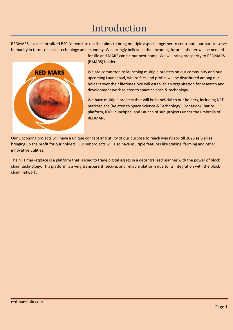# Introduction

REDMARS is a decentralized BSC Network token that aims to bring multiple aspects together to contribute our part to serve humanity in terms of space technology and economy. We strongly believe in the upcoming future's shelter will be needed



for life and MARS can be our next home. We will bring prosperity to REDMARS (RMARS) holders.

We are committed to launching multiple projects on our community and our upcoming Launchpad, where fees and profits will be distributed among our holders over their lifetimes. We will establish an organization for research and development work related to space science & technology.

We have multiple projects that will be beneficial to our holders, including NFT marketplace (Related to Space Science & Technology), Donation/Charity platform, IDO Launchpad, and Launch of sub-projects under the umbrella of REDMARS.

Our Upcoming projects will have a unique concept and utility of our purpose to reach Mars's soil till 2025 as well as bringing up the profit for our holders. Our subprojects will also have multiple features like staking, farming and other innovative utilities.

The NFT marketplace is a platform that is used to trade digital assets in a decentralized manner with the power of block chain technology. This platform is a very transparent, secure, and reliable platform due to its integration with the block chain network.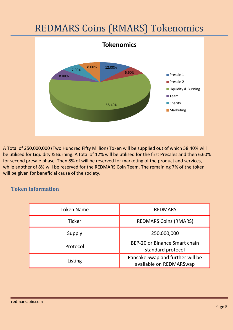# REDMARS Coins (RMARS) Tokenomics



 A Total of 250,000,000 (Two Hundred Fifty Million) Token will be supplied out of which 58.40% will be utilised for Liquidity & Burning. A total of 12% will be utilised for the first Presales and then 6.60% for second presale phase. Then 8% of will be reserved for marketing of the product and services, while another of 8% will be reserved for the REDMARS Coin Team. The remaining 7% of the token will be given for beneficial cause of the society.

### **Token Information**

| <b>Token Name</b> | <b>REDMARS</b>                                              |
|-------------------|-------------------------------------------------------------|
| <b>Ticker</b>     | <b>REDMARS Coins (RMARS)</b>                                |
| Supply            | 250,000,000                                                 |
| Protocol          | BEP-20 or Binance Smart chain<br>standard protocol          |
| Listing           | Pancake Swap and further will be<br>available on REDMARSwap |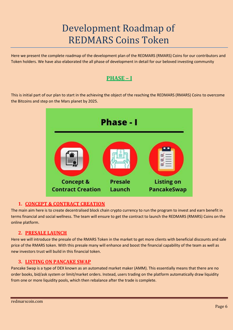# Development Roadmap of REDMARS Coins Token

Here we present the complete roadmap of the development plan of the REDMARS (RMARS) Coins for our contributors and Token holders. We have also elaborated the all phase of development in detail for our beloved investing community

### **PHASE – I**

This is initial part of our plan to start in the achieving the object of the reaching the REDMARS (RMARS) Coins to overcome the Bitcoins and step on the Mars planet by 2025.



#### **1. CONCEPT & CONTRACT CREATION**

The main aim here is to create decentralised block chain crypto currency to run the program to invest and earn benefit in terms financial and social wellness. The team will ensure to get the contract to launch the REDMARS (RMARS) Coins on the online platform.

#### **2. PRESALE LAUNCH**

Here we will introduce the presale of the RMARS Token in the market to get more clients with beneficial discounts and sale price of the RMARS token. With this presale many will enhance and boost the financial capability of the team as well as new investors trust will build in this financial token.

#### **3. LISTING ON PANCAKE SWAP**

Pancake Swap is a type of DEX known as an automated market maker (AMM). This essentially means that there are no order books, bid/ask system or limit/market orders. Instead, users trading on the platform automatically draw liquidity from one or more liquidity pools, which then rebalance after the trade is complete.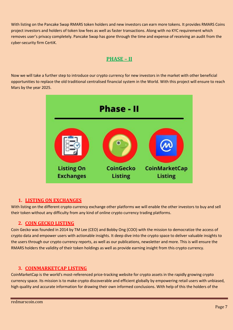With listing on the Pancake Swap RMARS token holders and new investors can earn more tokens. It provides RMARS Coins project investors and holders of token low fees as well as faster transactions. Along with no KYC requirement which removes user's privacy completely. Pancake Swap has gone through the time and expense of receiving an audit from the cyber-security firm CertiK.

### **PHASE – II**

Now we will take a further step to introduce our crypto currency for new investors in the market with other beneficial opportunities to replace the old traditional centralised financial system in the World. With this project will ensure to reach Mars by the year 2025.



#### **1. LISTING ON EXCHANGES**

With listing on the different crypto currency exchange other platforms we will enable the other investors to buy and sell their token without any difficulty from any kind of online crypto currency trading platforms.

#### **2. COIN GECKO LISTING**

Coin Gecko was founded in 2014 by TM Lee (CEO) and Bobby Ong (COO) with the mission to democratize the access of crypto data and empower users with actionable insights. It deep dive into the crypto space to deliver valuable insights to the users through our crypto currency reports, as well as our publications, newsletter and more. This is will ensure the RMARS holders the validity of their token holdings as well as provide earning insight from this crypto currency.

#### **3. COINMARKETCAP LISTING**

CoinMarketCap is the world's most-referenced price-tracking website for crypto assets in the rapidly growing crypto currency space. Its mission is to make crypto discoverable and efficient globally by empowering retail users with unbiased, high quality and accurate information for drawing their own informed conclusions. With help of this the holders of the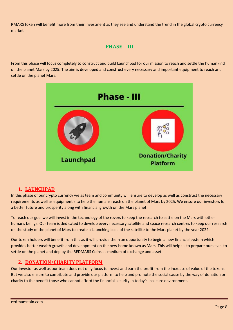RMARS token will benefit more from their investment as they see and understand the trend in the global crypto currency market.

### **PHASE – III**

From this phase will focus completely to construct and build Launchpad for our mission to reach and settle the humankind on the planet Mars by 2025. The aim is developed and construct every necessary and important equipment to reach and settle on the planet Mars.



#### **1. LAUNCHPAD**

In this phase of our crypto currency we as team and community will ensure to develop as well as construct the necessary requirements as well as equipment's to help the humans reach on the planet of Mars by 2025. We ensure our investors for a better future and prosperity along with financial growth on the Mars planet.

To reach our goal we will invest in the technology of the rovers to keep the research to settle on the Mars with other humans beings. Our team is dedicated to develop every necessary satellite and space research centres to keep our research on the study of the planet of Mars to create a Launching base of the satellite to the Mars planet by the year 2022.

Our token holders will benefit from this as it will provide them an opportunity to begin a new financial system which provides better wealth growth and development on the new home known as Mars. This will help us to prepare ourselves to settle on the planet and deploy the REDMARS Coins as medium of exchange and asset.

#### **2. DONATION/CHARITY PLATFORM**

Our investor as well as our team does not only focus to invest and earn the profit from the increase of value of the tokens. But we also ensure to contribute and provide our platform to help and promote the social cause by the way of donation or charity to the benefit those who cannot afford the financial security in today's insecure environment.